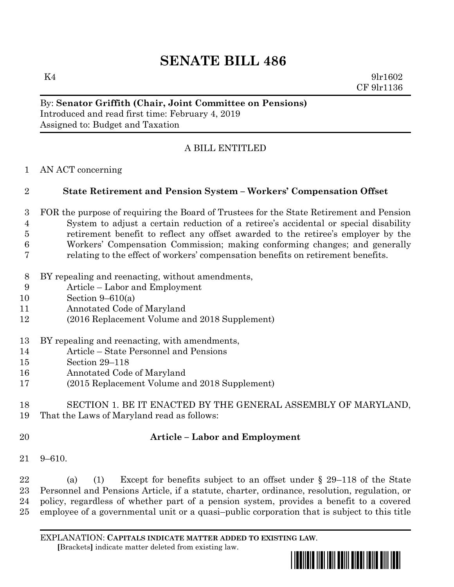# **SENATE BILL 486**

 $K4$  9lr1602 CF 9lr1136

#### By: **Senator Griffith (Chair, Joint Committee on Pensions)** Introduced and read first time: February 4, 2019 Assigned to: Budget and Taxation

## A BILL ENTITLED

AN ACT concerning

#### **State Retirement and Pension System – Workers' Compensation Offset**

- FOR the purpose of requiring the Board of Trustees for the State Retirement and Pension System to adjust a certain reduction of a retiree's accidental or special disability retirement benefit to reflect any offset awarded to the retiree's employer by the Workers' Compensation Commission; making conforming changes; and generally relating to the effect of workers' compensation benefits on retirement benefits.
- BY repealing and reenacting, without amendments,
- Article Labor and Employment
- Section 9–610(a)
- Annotated Code of Maryland
- (2016 Replacement Volume and 2018 Supplement)

# BY repealing and reenacting, with amendments,

- Article State Personnel and Pensions
- Section 29–118
- Annotated Code of Maryland
- (2015 Replacement Volume and 2018 Supplement)

### SECTION 1. BE IT ENACTED BY THE GENERAL ASSEMBLY OF MARYLAND, That the Laws of Maryland read as follows:

# **Article – Labor and Employment**

9–610.

 (a) (1) Except for benefits subject to an offset under § 29–118 of the State Personnel and Pensions Article, if a statute, charter, ordinance, resolution, regulation, or policy, regardless of whether part of a pension system, provides a benefit to a covered employee of a governmental unit or a quasi–public corporation that is subject to this title

EXPLANATION: **CAPITALS INDICATE MATTER ADDED TO EXISTING LAW**.  **[**Brackets**]** indicate matter deleted from existing law.

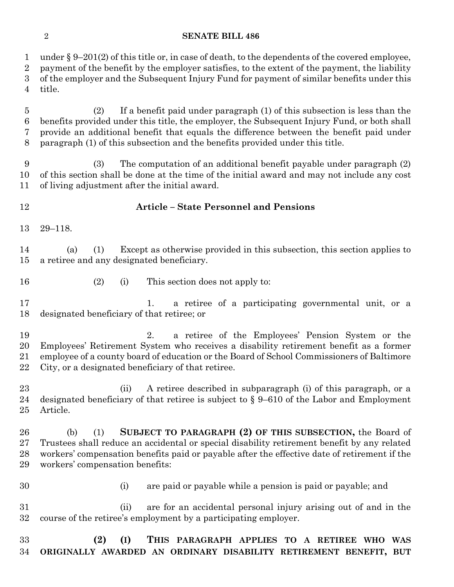#### **SENATE BILL 486**

 under § 9–201(2) of this title or, in case of death, to the dependents of the covered employee, payment of the benefit by the employer satisfies, to the extent of the payment, the liability of the employer and the Subsequent Injury Fund for payment of similar benefits under this title. (2) If a benefit paid under paragraph (1) of this subsection is less than the benefits provided under this title, the employer, the Subsequent Injury Fund, or both shall provide an additional benefit that equals the difference between the benefit paid under paragraph (1) of this subsection and the benefits provided under this title. (3) The computation of an additional benefit payable under paragraph (2) of this section shall be done at the time of the initial award and may not include any cost of living adjustment after the initial award. **Article – State Personnel and Pensions** 29–118. (a) (1) Except as otherwise provided in this subsection, this section applies to a retiree and any designated beneficiary. (2) (i) This section does not apply to: 1. a retiree of a participating governmental unit, or a designated beneficiary of that retiree; or 2. a retiree of the Employees' Pension System or the Employees' Retirement System who receives a disability retirement benefit as a former employee of a county board of education or the Board of School Commissioners of Baltimore City, or a designated beneficiary of that retiree. (ii) A retiree described in subparagraph (i) of this paragraph, or a designated beneficiary of that retiree is subject to § 9–610 of the Labor and Employment Article. (b) (1) **SUBJECT TO PARAGRAPH (2) OF THIS SUBSECTION,** the Board of Trustees shall reduce an accidental or special disability retirement benefit by any related workers' compensation benefits paid or payable after the effective date of retirement if the workers' compensation benefits: (i) are paid or payable while a pension is paid or payable; and

 (ii) are for an accidental personal injury arising out of and in the course of the retiree's employment by a participating employer.

### **(2) (I) THIS PARAGRAPH APPLIES TO A RETIREE WHO WAS ORIGINALLY AWARDED AN ORDINARY DISABILITY RETIREMENT BENEFIT, BUT**